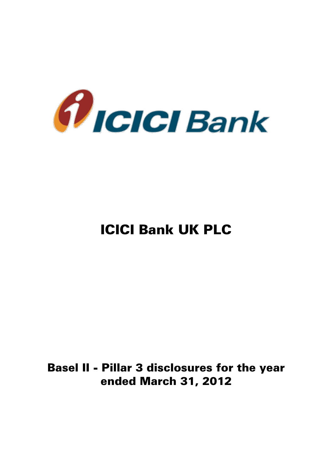

# ICICI Bank UK PLC

# Basel II - Pillar 3 disclosures for the year ended March 31, 2012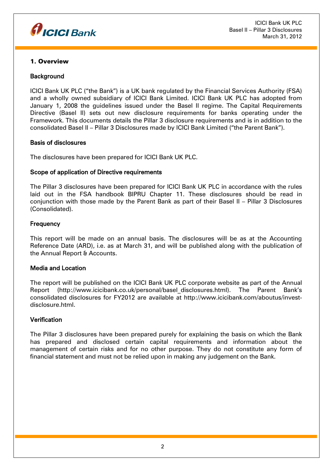

# 1. Overview

# **Background**

ICICI Bank UK PLC ("the Bank") is a UK bank regulated by the Financial Services Authority (FSA) and a wholly owned subsidiary of ICICI Bank Limited. ICICI Bank UK PLC has adopted from January 1, 2008 the guidelines issued under the Basel II regime. The Capital Requirements Directive (Basel II) sets out new disclosure requirements for banks operating under the Framework. This documents details the Pillar 3 disclosure requirements and is in addition to the consolidated Basel II – Pillar 3 Disclosures made by ICICI Bank Limited ("the Parent Bank").

#### Basis of disclosures

The disclosures have been prepared for ICICI Bank UK PLC.

#### Scope of application of Directive requirements

The Pillar 3 disclosures have been prepared for ICICI Bank UK PLC in accordance with the rules laid out in the FSA handbook BIPRU Chapter 11. These disclosures should be read in conjunction with those made by the Parent Bank as part of their Basel II – Pillar 3 Disclosures (Consolidated).

#### **Frequency**

This report will be made on an annual basis. The disclosures will be as at the Accounting Reference Date (ARD), i.e. as at March 31, and will be published along with the publication of the Annual Report & Accounts.

#### Media and Location

The report will be published on the ICICI Bank UK PLC corporate website as part of the Annual Report (http://www.icicibank.co.uk/personal/basel\_disclosures.html). The Parent Bank's consolidated disclosures for FY2012 are available at http://www.icicibank.com/aboutus/investdisclosure.html.

#### **Verification**

The Pillar 3 disclosures have been prepared purely for explaining the basis on which the Bank has prepared and disclosed certain capital requirements and information about the management of certain risks and for no other purpose. They do not constitute any form of financial statement and must not be relied upon in making any judgement on the Bank.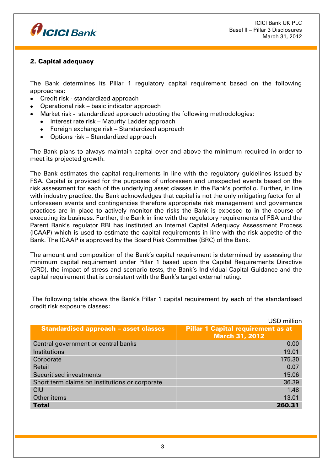

# 2. Capital adequacy

The Bank determines its Pillar 1 regulatory capital requirement based on the following approaches:

- Credit risk standardized approach
- Operational risk basic indicator approach
- Market risk standardized approach adopting the following methodologies:
	- Interest rate risk Maturity Ladder approach
	- Foreign exchange risk Standardized approach
	- Options risk Standardized approach

The Bank plans to always maintain capital over and above the minimum required in order to meet its projected growth.

The Bank estimates the capital requirements in line with the regulatory guidelines issued by FSA. Capital is provided for the purposes of unforeseen and unexpected events based on the risk assessment for each of the underlying asset classes in the Bank's portfolio. Further, in line with industry practice, the Bank acknowledges that capital is not the only mitigating factor for all unforeseen events and contingencies therefore appropriate risk management and governance practices are in place to actively monitor the risks the Bank is exposed to in the course of executing its business. Further, the Bank in line with the regulatory requirements of FSA and the Parent Bank's regulator RBI has instituted an Internal Capital Adequacy Assessment Process (ICAAP) which is used to estimate the capital requirements in line with the risk appetite of the Bank. The ICAAP is approved by the Board Risk Committee (BRC) of the Bank.

The amount and composition of the Bank's capital requirement is determined by assessing the minimum capital requirement under Pillar 1 based upon the Capital Requirements Directive (CRD), the impact of stress and scenario tests, the Bank's Individual Capital Guidance and the capital requirement that is consistent with the Bank's target external rating.

|                                                | <b>USD</b> million                        |
|------------------------------------------------|-------------------------------------------|
| <b>Standardised approach - asset classes</b>   | <b>Pillar 1 Capital requirement as at</b> |
|                                                | <b>March 31, 2012</b>                     |
| Central government or central banks            | 0.00                                      |
| Institutions                                   | 19.01                                     |
| Corporate                                      | 175.30                                    |
| Retail                                         | 0.07                                      |
| <b>Securitised investments</b>                 | 15.06                                     |
| Short term claims on institutions or corporate | 36.39                                     |
| <b>CIU</b>                                     | 1.48                                      |
| Other items                                    | 13.01                                     |
| <b>Total</b>                                   | 260.31                                    |

The following table shows the Bank's Pillar 1 capital requirement by each of the standardised credit risk exposure classes: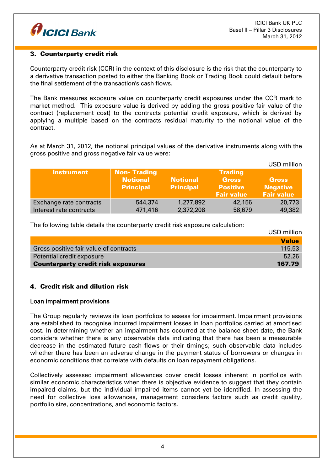

# 3. Counterparty credit risk

Counterparty credit risk (CCR) in the context of this disclosure is the risk that the counterparty to a derivative transaction posted to either the Banking Book or Trading Book could default before the final settlement of the transaction's cash flows.

The Bank measures exposure value on counterparty credit exposures under the CCR mark to market method. This exposure value is derived by adding the gross positive fair value of the contract (replacement cost) to the contracts potential credit exposure, which is derived by applying a multiple based on the contracts residual maturity to the notional value of the contract.

As at March 31, 2012, the notional principal values of the derivative instruments along with the gross positive and gross negative fair value were:

|                         |                    |                  |                   | USD million       |
|-------------------------|--------------------|------------------|-------------------|-------------------|
| <b>Instrument</b>       | <b>Non-Trading</b> |                  | <b>Trading</b>    |                   |
|                         | <b>Notional</b>    | <b>Notional</b>  | <b>Gross</b>      | <b>Gross</b>      |
|                         | <b>Principal</b>   | <b>Principal</b> | <b>Positive</b>   | <b>Negative</b>   |
|                         |                    |                  | <b>Fair value</b> | <b>Fair value</b> |
| Exchange rate contracts | 544,374            | 1,277,892        | 42,156            | 20,773            |
| Interest rate contracts | 471,416            | 2,372,208        | 58,679            | 49,382            |

The following table details the counterparty credit risk exposure calculation:

|                                           | USD million  |
|-------------------------------------------|--------------|
|                                           | <b>Value</b> |
| Gross positive fair value of contracts    | 115.53       |
| Potential credit exposure                 | 52.26        |
| <b>Counterparty credit risk exposures</b> | 167.79       |

# 4. Credit risk and dilution risk

#### Loan impairment provisions

The Group regularly reviews its loan portfolios to assess for impairment. Impairment provisions are established to recognise incurred impairment losses in loan portfolios carried at amortised cost. In determining whether an impairment has occurred at the balance sheet date, the Bank considers whether there is any observable data indicating that there has been a measurable decrease in the estimated future cash flows or their timings; such observable data includes whether there has been an adverse change in the payment status of borrowers or changes in economic conditions that correlate with defaults on loan repayment obligations.

Collectively assessed impairment allowances cover credit losses inherent in portfolios with similar economic characteristics when there is objective evidence to suggest that they contain impaired claims, but the individual impaired items cannot yet be identified. In assessing the need for collective loss allowances, management considers factors such as credit quality, portfolio size, concentrations, and economic factors.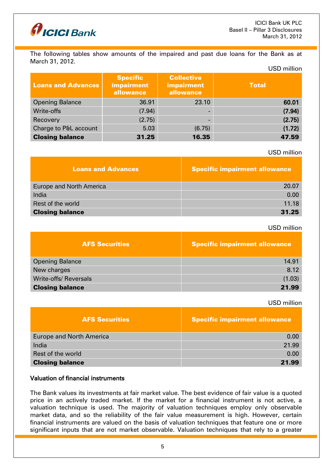

The following tables show amounts of the impaired and past due loans for the Bank as at March 31, 2012. USD million

| <b>Loans and Advances</b> | <b>Specific</b><br>impairment<br>allowance | <b>Collective</b><br><b>impairment</b><br>allowance | <b>Total</b> |
|---------------------------|--------------------------------------------|-----------------------------------------------------|--------------|
| <b>Opening Balance</b>    | 36.91                                      | 23.10                                               | 60.01        |
| Write-offs                | (7.94)                                     |                                                     | (7.94)       |
| Recovery                  | (2.75)                                     |                                                     | (2.75)       |
| Charge to P&L account     | 5.03                                       | (6.75)                                              | (1.72)       |
| <b>Closing balance</b>    | 31.25                                      | 16.35                                               | 47.59        |

#### USD million

| <b>Loans and Advances</b> | <b>Specific impairment allowance</b> |
|---------------------------|--------------------------------------|
| Europe and North America  | 20.07                                |
| India                     | 0.00                                 |
| Rest of the world         | 11.18                                |
| <b>Closing balance</b>    | 31.25                                |

#### USD million

| <b>AFS Securities</b>        | <b>Specific impairment allowance</b> |
|------------------------------|--------------------------------------|
| <b>Opening Balance</b>       | 14.91                                |
| New charges                  | 8.12                                 |
| <b>Write-offs/ Reversals</b> | (1.03)                               |
| <b>Closing balance</b>       | 21.99                                |

#### USD million

| <b>AFS Securities</b>           | <b>Specific impairment allowance</b> |
|---------------------------------|--------------------------------------|
| <b>Europe and North America</b> | 0.00                                 |
| India                           | 21.99                                |
| Rest of the world               | 0.00                                 |
| <b>Closing balance</b>          | 21.99                                |

# Valuation of financial instruments

The Bank values its investments at fair market value. The best evidence of fair value is a quoted price in an actively traded market. If the market for a financial instrument is not active, a valuation technique is used. The majority of valuation techniques employ only observable market data, and so the reliability of the fair value measurement is high. However, certain financial instruments are valued on the basis of valuation techniques that feature one or more significant inputs that are not market observable. Valuation techniques that rely to a greater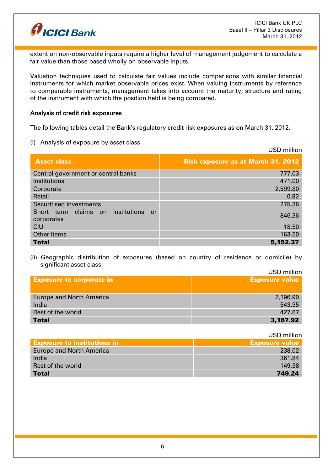

extent on non-observable inputs require a higher level of management judgement to calculate a fair value than those based wholly on observable inputs.

Valuation techniques used to calculate fair values include comparisons with similar financial instruments for which market observable prices exist. When valuing instruments by reference to comparable instruments, management takes into account the maturity, structure and rating of the instrument with which the position held is being compared.

#### Analysis of credit risk exposures

The following tables detail the Bank's regulatory credit risk exposures as on March 31, 2012.

(i) Analysis of exposure by asset class

USD million Asset class Risk exposure as at March 31, 2012 Central government or central banks **1996** and the central contract of the central of the central of the central banks and the central of the central of the central of the central of the central of the central of the centr Institutions 471.00 Corporate 2,599.80 Retail 0.82 Securitised investments 275.36 Short term claims on institutions or corporates 846.36 CIU anno 18.50 °C i control de la control de la control de la control de la control de la control de la contro Other items 163.50 Total 5,152.37

(ii) Geographic distribution of exposures (based on country of residence or domicile) by significant asset class

|                                 | USD million           |
|---------------------------------|-----------------------|
| <b>Exposure to corporate in</b> | <b>Exposure value</b> |
|                                 |                       |
| <b>Europe and North America</b> | 2,196.90              |
| India                           | 543.35                |
| Rest of the world               | 427.67                |
| <b>Total</b>                    | 3,167.92              |
|                                 |                       |

|                                    | USD million           |
|------------------------------------|-----------------------|
| <b>Exposure to institutions in</b> | <b>Exposure value</b> |
| Europe and North America           | 238.02                |
| India                              | 361.84                |
| Rest of the world                  | 149.38                |
| <b>Total</b>                       | 749.24                |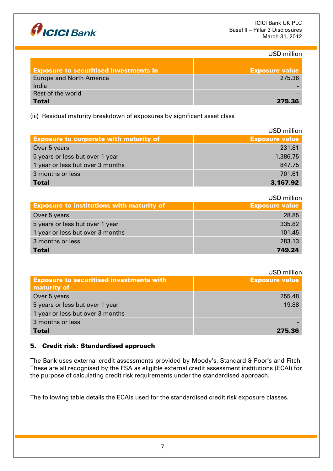

USD million

| <b>Exposure to securitised investments in</b> | <b>Exposure value</b> |
|-----------------------------------------------|-----------------------|
| <b>Europe and North America</b>               | 275.36                |
| India                                         |                       |
| Rest of the world                             |                       |
| <b>Total</b>                                  | 275.36                |

(iii) Residual maturity breakdown of exposures by significant asset class

|                                               | USD million           |
|-----------------------------------------------|-----------------------|
| <b>Exposure to corporate with maturity of</b> | <b>Exposure value</b> |
| Over 5 years                                  | 231.81                |
| 5 years or less but over 1 year               | 1,386.75              |
| 1 year or less but over 3 months              | 847.75                |
| 3 months or less                              | 701.61                |
| <b>Total</b>                                  | 3,167.92              |

USD million

|                                                  | ------------          |
|--------------------------------------------------|-----------------------|
| <b>Exposure to institutions with maturity of</b> | <b>Exposure value</b> |
| Over 5 years                                     | 28.85                 |
| 5 years or less but over 1 year                  | 335.82                |
| 1 year or less but over 3 months                 | 101.45                |
| 3 months or less                                 | 283.13                |
| <b>Total</b>                                     | 749.24                |

USD million

|                                                                | -----------           |
|----------------------------------------------------------------|-----------------------|
| <b>Exposure to securitised investments with</b><br>maturity of | <b>Exposure value</b> |
| Over 5 years                                                   | 255.48                |
| 5 years or less but over 1 year                                | 19.88                 |
| 1 year or less but over 3 months                               |                       |
| 3 months or less                                               |                       |
| <b>Total</b>                                                   | 275.36                |

# 5. Credit risk: Standardised approach

The Bank uses external credit assessments provided by Moody's, Standard & Poor's and Fitch. These are all recognised by the FSA as eligible external credit assessment institutions (ECAI) for the purpose of calculating credit risk requirements under the standardised approach.

The following table details the ECAIs used for the standardised credit risk exposure classes.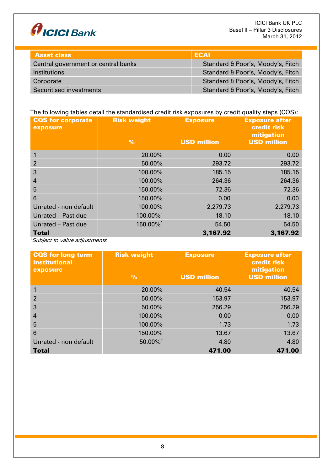

| <b>Asset class</b>                  | ECAL                              |
|-------------------------------------|-----------------------------------|
| Central government or central banks | Standard & Poor's, Moody's, Fitch |
| <b>Institutions</b>                 | Standard & Poor's, Moody's, Fitch |
| Corporate                           | Standard & Poor's, Moody's, Fitch |
| Securitised investments             | Standard & Poor's, Moody's, Fitch |

# The following tables detail the standardised credit risk exposures by credit quality steps (CQS):

| <b>CQS</b> for corporate<br>exposure | <b>Risk weight</b><br>$\frac{9}{6}$ | <b>Exposure</b><br><b>USD million</b> | <b>Exposure after</b><br>credit risk<br>mitigation<br><b>USD million</b> |
|--------------------------------------|-------------------------------------|---------------------------------------|--------------------------------------------------------------------------|
|                                      |                                     |                                       |                                                                          |
|                                      | 20.00%                              | 0.00                                  | 0.00                                                                     |
| $\overline{2}$                       | 50.00%                              | 293.72                                | 293.72                                                                   |
| 3                                    | 100.00%                             | 185.15                                | 185.15                                                                   |
| 4                                    | 100.00%                             | 264.36                                | 264.36                                                                   |
| 5                                    | 150.00%                             | 72.36                                 | 72.36                                                                    |
| 6                                    | 150.00%                             | 0.00                                  | 0.00                                                                     |
| Unrated - non default                | 100.00%                             | 2,279.73                              | 2,279.73                                                                 |
| Unrated - Past due                   | 100.00% <sup>1</sup>                | 18.10                                 | 18.10                                                                    |
| Unrated - Past due                   | 150.00%1                            | 54.50                                 | 54.50                                                                    |
| <b>Total</b>                         |                                     | 3,167.92                              | 3,167.92                                                                 |

<sup>1</sup>Subject to value adjustments

| <b>CQS</b> for long term<br><b>institutional</b><br>exposure | <b>Risk weight</b><br>$\frac{0}{0}$ | <b>Exposure</b><br><b>USD million</b> | <b>Exposure after</b><br>credit risk<br>mitigation<br><b>USD million</b> |
|--------------------------------------------------------------|-------------------------------------|---------------------------------------|--------------------------------------------------------------------------|
|                                                              | 20.00%                              | 40.54                                 | 40.54                                                                    |
| 2                                                            | 50.00%                              | 153.97                                | 153.97                                                                   |
| 3                                                            | 50.00%                              | 256.29                                | 256.29                                                                   |
| $\overline{4}$                                               | 100.00%                             | 0.00                                  | 0.00                                                                     |
| 5                                                            | 100.00%                             | 1.73                                  | 1.73                                                                     |
| 6                                                            | 150.00%                             | 13.67                                 | 13.67                                                                    |
| Unrated - non default                                        | $50.00\%$ <sup>1</sup>              | 4.80                                  | 4.80                                                                     |
| <b>Total</b>                                                 |                                     | 471.00                                | 471.00                                                                   |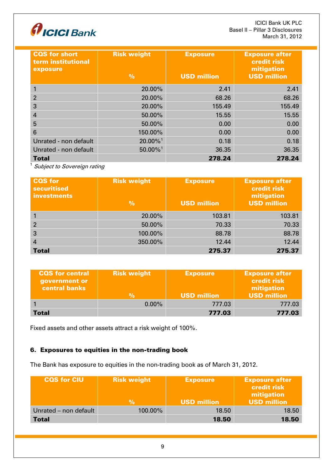

| <b>CQS</b> for short<br>term institutional<br>exposure | <b>Risk weight</b><br>$\frac{9}{6}$ | <b>Exposure</b><br><b>USD million</b> | <b>Exposure after</b><br>credit risk<br>mitigation<br><b>USD million</b> |
|--------------------------------------------------------|-------------------------------------|---------------------------------------|--------------------------------------------------------------------------|
|                                                        | 20.00%                              | 2.41                                  | 2.41                                                                     |
| $\overline{2}$                                         | 20,00%                              | 68.26                                 | 68.26                                                                    |
| 3                                                      | 20,00%                              | 155.49                                | 155.49                                                                   |
| 4                                                      | 50,00%                              | 15.55                                 | 15.55                                                                    |
| 5                                                      | 50,00%                              | 0.00                                  | 0.00                                                                     |
| 6                                                      | 150.00%                             | 0.00                                  | 0.00                                                                     |
| Unrated - non default                                  | 20.00% <sup>1</sup>                 | 0.18                                  | 0.18                                                                     |
| Unrated - non default                                  | $50.00\%$ <sup>1</sup>              | 36.35                                 | 36.35                                                                    |
| <b>Total</b>                                           |                                     | 278.24                                | 278.24                                                                   |

 $<sup>1</sup>$  Subject to Sovereign rating</sup>

| <b>CQS</b> for<br><b>securitised</b><br>investments | <b>Risk weight</b><br>$\frac{9}{6}$ | <b>Exposure</b><br><b>USD million</b> | <b>Exposure after</b><br>credit risk<br>mitigation<br><b>USD million</b> |
|-----------------------------------------------------|-------------------------------------|---------------------------------------|--------------------------------------------------------------------------|
|                                                     | 20.00%                              | 103.81                                | 103.81                                                                   |
| $\overline{2}$                                      | 50.00%                              | 70.33                                 | 70.33                                                                    |
| 3                                                   | 100.00%                             | 88.78                                 | 88.78                                                                    |
| 4                                                   | 350.00%                             | 12.44                                 | 12.44                                                                    |
| <b>Total</b>                                        |                                     | 275.37                                | 275.37                                                                   |

| <b>CQS</b> for central<br>government or<br><b>central banks</b> | <b>Risk weight</b> | <b>Exposure</b>    | <b>Exposure after</b><br><b>credit risk</b><br>mitigation |
|-----------------------------------------------------------------|--------------------|--------------------|-----------------------------------------------------------|
|                                                                 | %                  | <b>USD million</b> | <b>USD million</b>                                        |
|                                                                 | $0.00\%$           | 777.03             | 777.03                                                    |
| Total                                                           |                    | 777.03             | 777.03                                                    |

Fixed assets and other assets attract a risk weight of 100%.

# 6. Exposures to equities in the non-trading book

The Bank has exposure to equities in the non-trading book as of March 31, 2012.

| <b>CQS for CIU</b>    | <b>Risk weight</b><br>l%' | <b>Exposure</b><br><b>USD million</b> | <b>Exposure after</b><br><b>credit risk</b><br>mitigation<br><b>USD million</b> |
|-----------------------|---------------------------|---------------------------------------|---------------------------------------------------------------------------------|
| Unrated - non default | 100.00%                   | 18.50                                 | 18.50                                                                           |
| <b>Total</b>          |                           | 18.50                                 | 18.50                                                                           |